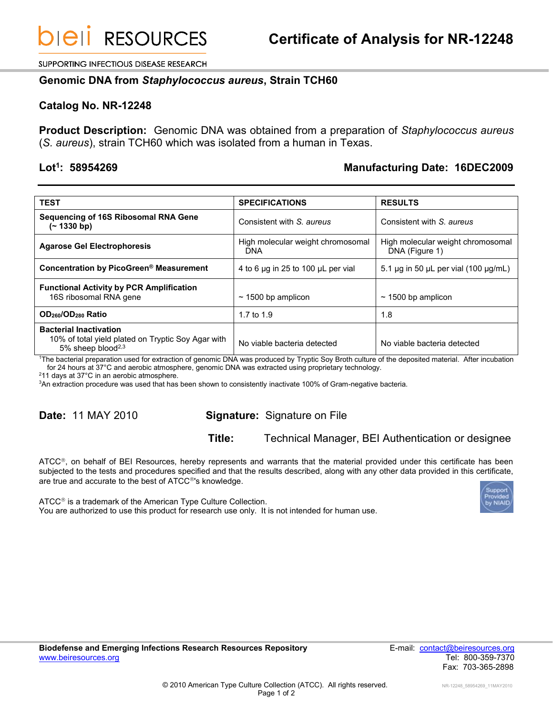SUPPORTING INFECTIOUS DISEASE RESEARCH

### **Genomic DNA from** *Staphylococcus aureus***, Strain TCH60**

### **Catalog No. NR-12248**

**Product Description:** Genomic DNA was obtained from a preparation of *Staphylococcus aureus* (*S. aureus*), strain TCH60 which was isolated from a human in Texas.

#### Lot<sup>1</sup>: 58954269

## **: 58954269 Manufacturing Date: 16DEC2009**

| <b>TEST</b>                                                                                                          | <b>SPECIFICATIONS</b>                    | <b>RESULTS</b>                                      |
|----------------------------------------------------------------------------------------------------------------------|------------------------------------------|-----------------------------------------------------|
| <b>Sequencing of 16S Ribosomal RNA Gene</b><br>$(- 1330 b p)$                                                        | Consistent with S. aureus                | Consistent with S. aureus                           |
| <b>Agarose Gel Electrophoresis</b>                                                                                   | High molecular weight chromosomal<br>DNA | High molecular weight chromosomal<br>DNA (Figure 1) |
| Concentration by PicoGreen <sup>®</sup> Measurement                                                                  | 4 to 6 µg in 25 to 100 µL per vial       | 5.1 $\mu$ g in 50 $\mu$ L per vial (100 $\mu$ g/mL) |
| <b>Functional Activity by PCR Amplification</b><br>16S ribosomal RNA gene                                            | $\sim$ 1500 bp amplicon                  | $\sim$ 1500 bp amplicon                             |
| OD <sub>260</sub> /OD <sub>280</sub> Ratio                                                                           | 1.7 to 1.9                               | 1.8                                                 |
| <b>Bacterial Inactivation</b><br>10% of total yield plated on Tryptic Soy Agar with<br>5% sheep blood <sup>2,3</sup> | No viable bacteria detected              | No viable bacteria detected                         |

<sup>1</sup>The bacterial preparation used for extraction of genomic DNA was produced by Tryptic Soy Broth culture of the deposited material. After incubation for 24 hours at 37°C and aerobic atmosphere, genomic DNA was extracted using proprietary technology.

<sup>2</sup>11 days at 37°C in an aerobic atmosphere.

<sup>3</sup>An extraction procedure was used that has been shown to consistently inactivate 100% of Gram-negative bacteria.

# **Date:** 11 MAY 2010 **Signature:** Signature on File

## **Title:** Technical Manager, BEI Authentication or designee

 $\tt ATCC<sup>®</sup>$ , on behalf of BEI Resources, hereby represents and warrants that the material provided under this certificate has been subjected to the tests and procedures specified and that the results described, along with any other data provided in this certificate, are true and accurate to the best of ATCC<sup>®</sup>'s knowledge.

ATCC<sup>®</sup> is a trademark of the American Type Culture Collection. You are authorized to use this product for research use only. It is not intended for human use.